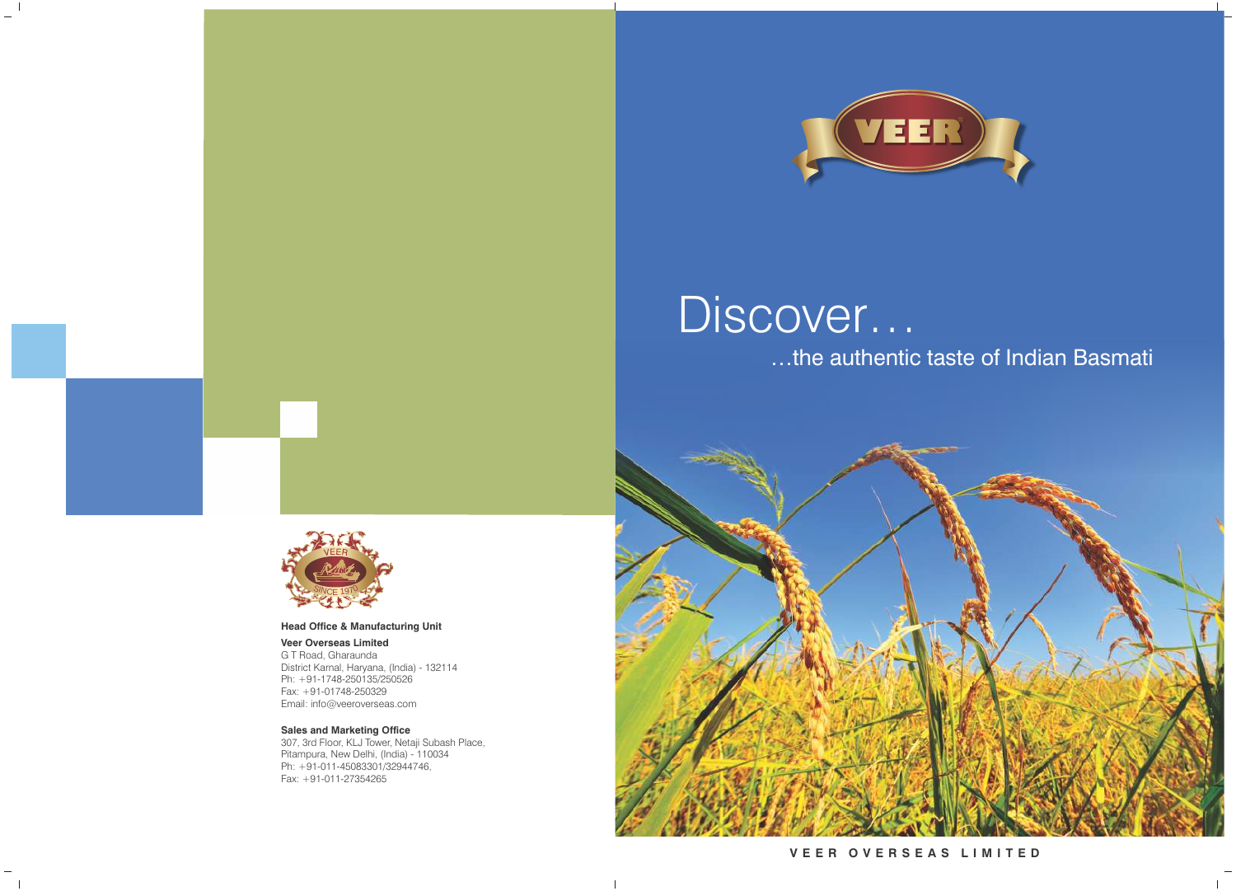

# Discover…

## …the authentic taste of Indian Basmati

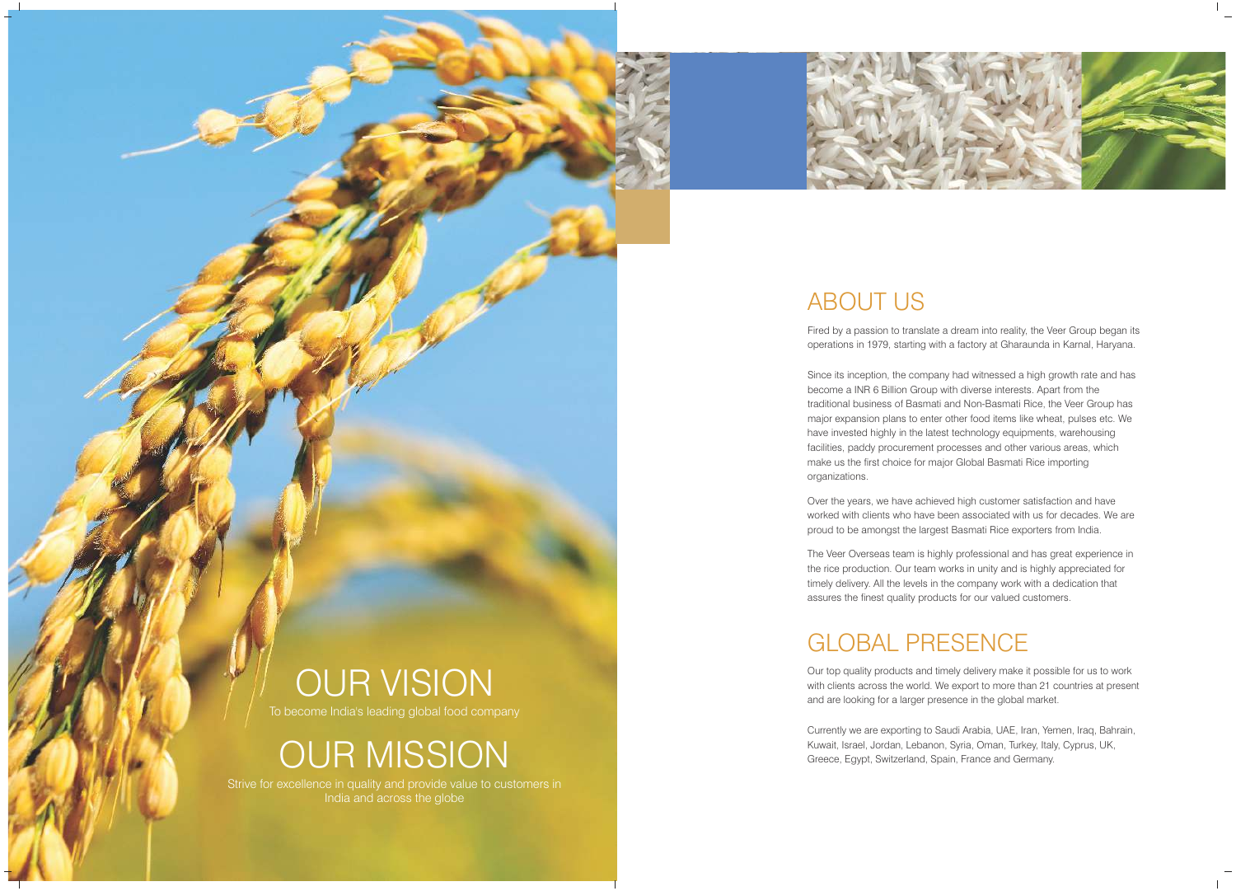## OUR VISION

To become India's leading global food company

OUR MISSION

Strive for excellence in quality and provide value to customers in India and across the globe





## ABOUT US

Fired by a passion to translate a dream into reality, the Veer Group began its operations in 1979, starting with a factory at Gharaunda in Karnal, Haryana.

Since its inception, the company had witnessed a high growth rate and has become a INR 6 Billion Group with diverse interests. Apart from the traditional business of Basmati and Non-Basmati Rice, the Veer Group has major expansion plans to enter other food items like wheat, pulses etc. We have invested highly in the latest technology equipments, warehousing facilities, paddy procurement processes and other various areas, which make us the first choice for major Global Basmati Rice importing organizations.

Over the years, we have achieved high customer satisfaction and have worked with clients who have been associated with us for decades. We are proud to be amongst the largest Basmati Rice exporters from India.

The Veer Overseas team is highly professional and has great experience in the rice production. Our team works in unity and is highly appreciated for timely delivery. All the levels in the company work with a dedication that assures the finest quality products for our valued customers.

## GLOBAL PRESENCE

Our top quality products and timely delivery make it possible for us to work with clients across the world. We export to more than 21 countries at present and are looking for a larger presence in the global market.

Currently we are exporting to Saudi Arabia, UAE, Iran, Yemen, Iraq, Bahrain, Kuwait, Israel, Jordan, Lebanon, Syria, Oman, Turkey, Italy, Cyprus, UK, Greece, Egypt, Switzerland, Spain, France and Germany.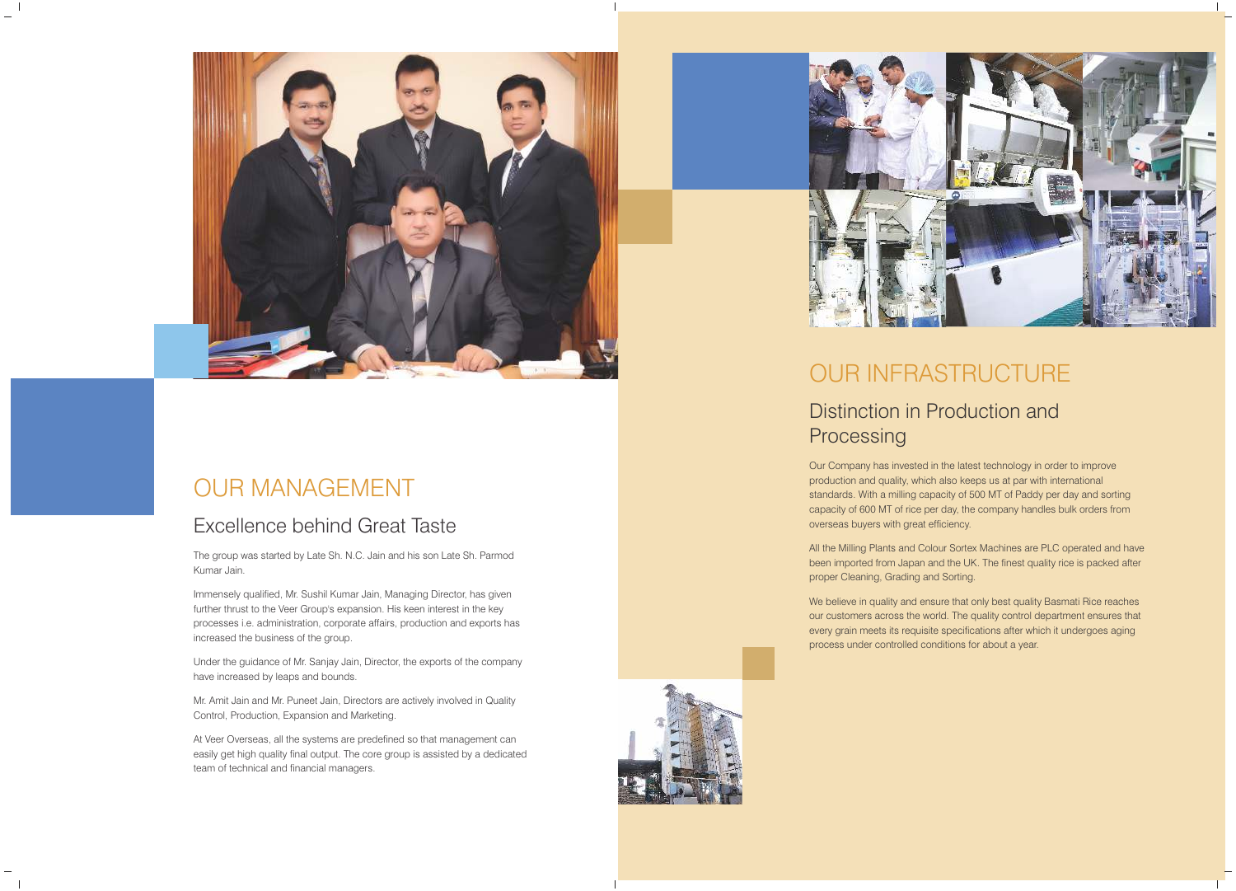## OUR INFRASTRUCTURE

### Distinction in Production and

# Processing

Our Company has invested in the latest technology in order to improve production and quality, which also keeps us at par with international standards. With a milling capacity of 500 MT of Paddy per day and sorting capacity of 600 MT of rice per day, the company handles bulk orders from overseas buyers with great efficiency.

All the Milling Plants and Colour Sortex Machines are PLC operated and have been imported from Japan and the UK. The finest quality rice is packed after proper Cleaning, Grading and Sorting.

We believe in quality and ensure that only best quality Basmati Rice reaches our customers across the world. The quality control department ensures that every grain meets its requisite specifications after which it undergoes aging process under controlled conditions for about a year.





## OUR MANAGEMENT

#### Excellence behind Great Taste

The group was started by Late Sh. N.C. Jain and his son Late Sh. Parmod Kumar Jain.

Immensely qualified, Mr. Sushil Kumar Jain, Managing Director, has given further thrust to the Veer Group's expansion. His keen interest in the key processes i.e. administration, corporate affairs, production and exports has increased the business of the group.

Under the guidance of Mr. Sanjay Jain, Director, the exports of the company have increased by leaps and bounds.

Mr. Amit Jain and Mr. Puneet Jain, Directors are actively involved in Quality Control, Production, Expansion and Marketing.

At Veer Overseas, all the systems are predefined so that management can easily get high quality final output. The core group is assisted by a dedicated team of technical and financial managers.

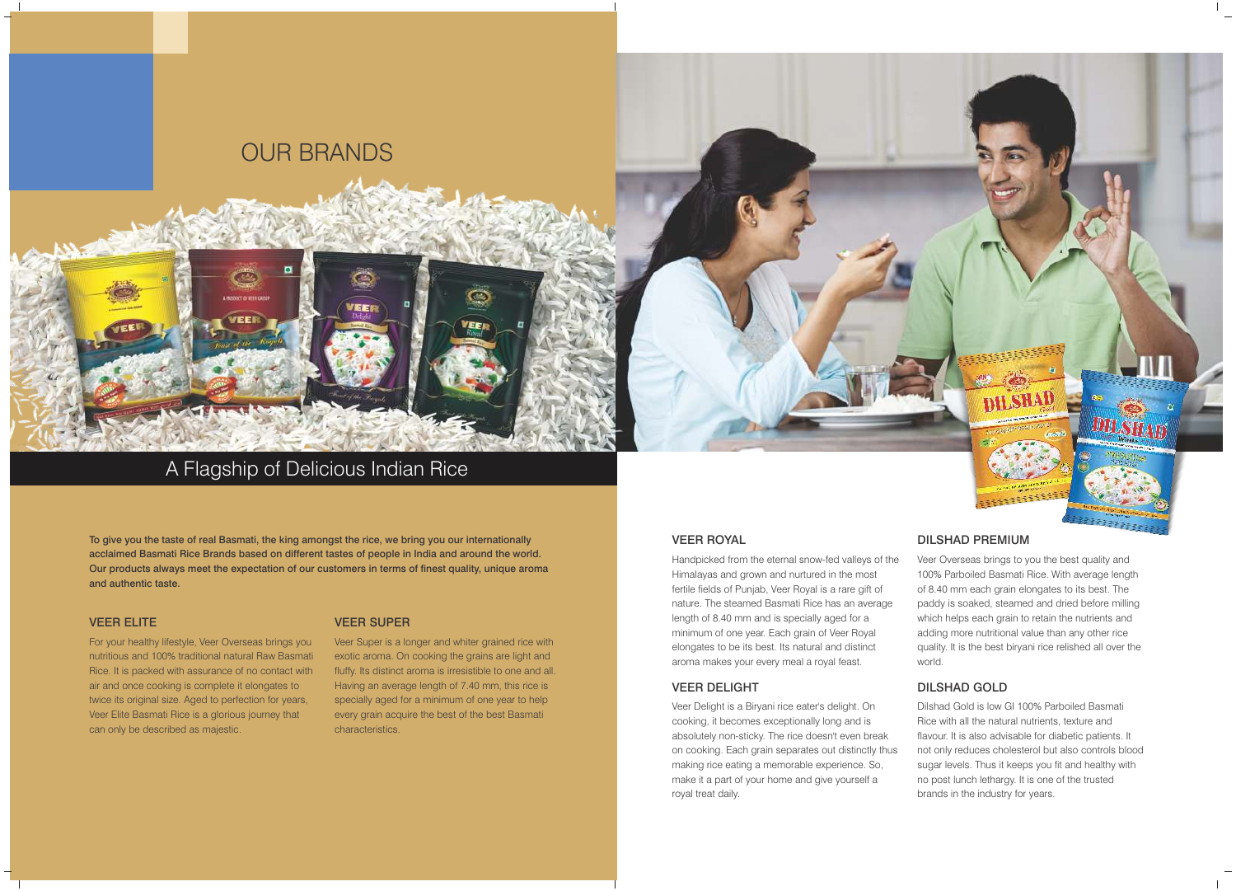## A Flagship of Delicious Indian Rice

## OUR BRANDS

#### VEER ELITE

For your healthy lifestyle, Veer Overseas brings you nutritious and 100% traditional natural Raw Basmati Rice. It is packed with assurance of no contact with air and once cooking is complete it elongates to twice its original size. Aged to perfection for years, Veer Elite Basmati Rice is a glorious journey that can only be described as majestic.

#### VEER SUPER

**VEER** 

Veer Super is a longer and whiter grained rice with exotic aroma. On cooking the grains are light and fluffy. Its distinct aroma is irresistible to one and all. Having an average length of 7.40 mm, this rice is specially aged for a minimum of one year to help every grain acquire the best of the best Basmati characteristics.

To give you the taste of real Basmati, the king amongst the rice, we bring you our internationally acclaimed Basmati Rice Brands based on different tastes of people in India and around the world. Our products always meet the expectation of our customers in terms of finest quality, unique aroma and authentic taste.

#### VEER ROYAL

Handpicked from the eternal snow-fed valleys of the Himalayas and grown and nurtured in the most fertile fields of Punjab, Veer Royal is a rare gift of nature. The steamed Basmati Rice has an average length of 8.40 mm and is specially aged for a minimum of one year. Each grain of Veer Royal elongates to be its best. Its natural and distinct aroma makes your every meal a royal feast.

#### VEER DELIGHT

Veer Delight is a Biryani rice eater's delight. On cooking, it becomes exceptionally long and is absolutely non-sticky. The rice doesn't even break on cooking. Each grain separates out distinctly thus making rice eating a memorable experience. So, make it a part of your home and give yourself a royal treat daily.



#### DILSHAD PREMIUM

Veer Overseas brings to you the best quality and 100% Parboiled Basmati Rice. With average length of 8.40 mm each grain elongates to its best. The paddy is soaked, steamed and dried before milling which helps each grain to retain the nutrients and adding more nutritional value than any other rice quality. It is the best biryani rice relished all over the world.

#### DILSHAD GOLD

Dilshad Gold is low GI 100% Parboiled Basmati Rice with all the natural nutrients, texture and flavour. It is also advisable for diabetic patients. It not only reduces cholesterol but also controls blood sugar levels. Thus it keeps you fit and healthy with no post lunch lethargy. It is one of the trusted brands in the industry for years.